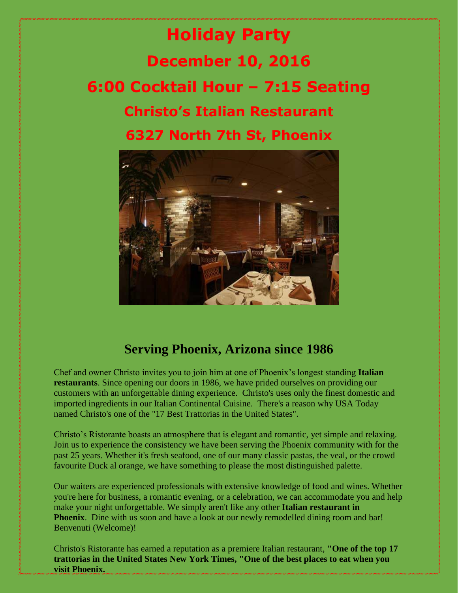## **Holiday Party December 10, 2016 6:00 Cocktail Hour – 7:15 Seating Christo's Italian Restaurant 6327 North 7th St, Phoenix**



## **Serving Phoenix, Arizona since 1986**

Chef and owner Christo invites you to join him at one of Phoenix's longest standing **Italian restaurants**. Since opening our doors in 1986, we have prided ourselves on providing our customers with an unforgettable dining experience. Christo's uses only the finest domestic and imported ingredients in our Italian Continental Cuisine. There's a reason why USA Today named Christo's one of the "17 Best Trattorias in the United States".

Christo's Ristorante boasts an atmosphere that is elegant and romantic, yet simple and relaxing. Join us to experience the consistency we have been serving the Phoenix community with for the past 25 years. Whether it's fresh seafood, one of our many classic pastas, the veal, or the crowd favourite Duck al orange, we have something to please the most distinguished palette.

Our waiters are experienced professionals with extensive knowledge of food and wines. Whether you're here for business, a romantic evening, or a celebration, we can accommodate you and help make your night unforgettable. We simply aren't like any other **Italian restaurant in Phoenix**. Dine with us soon and have a look at our newly remodelled dining room and bar! Benvenuti (Welcome)!

Christo's Ristorante has earned a reputation as a premiere Italian restaurant, **"One of the top 17 trattorias in the United States New York Times, "One of the best places to eat when you visit Phoenix.**